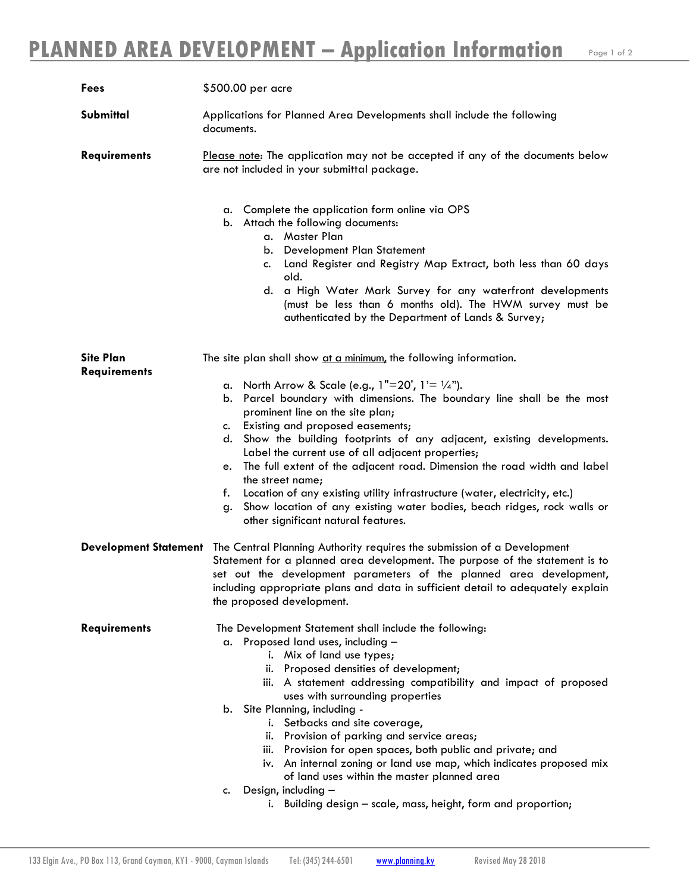| Fees                                    | \$500.00 per acre                                                                                                                                                                                                                                                                                                                                                                                                                                                                                                                                                                                                |
|-----------------------------------------|------------------------------------------------------------------------------------------------------------------------------------------------------------------------------------------------------------------------------------------------------------------------------------------------------------------------------------------------------------------------------------------------------------------------------------------------------------------------------------------------------------------------------------------------------------------------------------------------------------------|
| Submittal                               | Applications for Planned Area Developments shall include the following<br>documents.                                                                                                                                                                                                                                                                                                                                                                                                                                                                                                                             |
| <b>Requirements</b>                     | Please note: The application may not be accepted if any of the documents below<br>are not included in your submittal package.                                                                                                                                                                                                                                                                                                                                                                                                                                                                                    |
|                                         | a. Complete the application form online via OPS<br>b. Attach the following documents:<br>a. Master Plan<br>Development Plan Statement<br>b.<br>Land Register and Registry Map Extract, both less than 60 days<br>c.<br>old.<br>a High Water Mark Survey for any waterfront developments<br>d.<br>(must be less than 6 months old). The HWM survey must be<br>authenticated by the Department of Lands & Survey;                                                                                                                                                                                                  |
| <b>Site Plan</b><br><b>Requirements</b> | The site plan shall show at a minimum, the following information.<br>a. North Arrow & Scale (e.g., $1"=20'$ , $1'=1/4"$ ).<br>b. Parcel boundary with dimensions. The boundary line shall be the most<br>prominent line on the site plan;<br>Existing and proposed easements;<br>c.<br>Show the building footprints of any adjacent, existing developments.<br>d.<br>Label the current use of all adjacent properties;<br>The full extent of the adjacent road. Dimension the road width and label<br>e.<br>the street name;<br>Location of any existing utility infrastructure (water, electricity, etc.)<br>f. |
|                                         | Show location of any existing water bodies, beach ridges, rock walls or<br>g.<br>other significant natural features.                                                                                                                                                                                                                                                                                                                                                                                                                                                                                             |
|                                         | Development Statement The Central Planning Authority requires the submission of a Development<br>Statement for a planned area development. The purpose of the statement is to<br>set out the development parameters of the planned area development,<br>including appropriate plans and data in sufficient detail to adequately explain<br>the proposed development.                                                                                                                                                                                                                                             |
| <b>Requirements</b>                     | The Development Statement shall include the following:<br>a. Proposed land uses, including -<br>i. Mix of land use types;<br>ii. Proposed densities of development;<br>iii. A statement addressing compatibility and impact of proposed<br>uses with surrounding properties<br>b. Site Planning, including -<br>i. Setbacks and site coverage,                                                                                                                                                                                                                                                                   |
|                                         | ii. Provision of parking and service areas;<br>iii. Provision for open spaces, both public and private; and<br>iv. An internal zoning or land use map, which indicates proposed mix<br>of land uses within the master planned area                                                                                                                                                                                                                                                                                                                                                                               |
|                                         | c. Design, including -<br>i. Building design - scale, mass, height, form and proportion;                                                                                                                                                                                                                                                                                                                                                                                                                                                                                                                         |